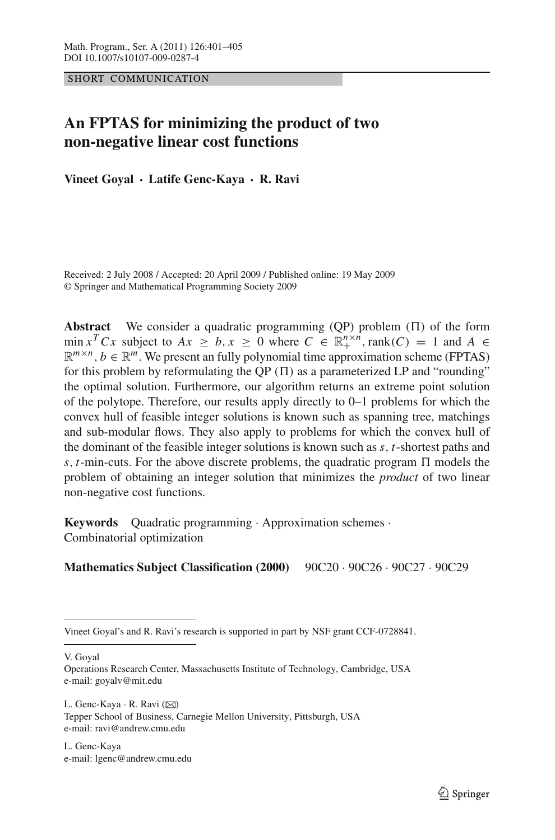SHORT COMMUNICATION

# **An FPTAS for minimizing the product of two non-negative linear cost functions**

**Vineet Goyal · Latife Genc-Kaya · R. Ravi**

Received: 2 July 2008 / Accepted: 20 April 2009 / Published online: 19 May 2009 © Springer and Mathematical Programming Society 2009

**Abstract** We consider a quadratic programming  $(QP)$  problem  $(\Pi)$  of the form min *x*<sup>*T*</sup>C*x* subject to  $Ax \ge b, x \ge 0$  where  $C \in \mathbb{R}^{n \times n}_+$ , rank(*C*) = 1 and  $A \in$  $\mathbb{R}^{m \times n}$ ,  $b \in \mathbb{R}^m$ . We present an fully polynomial time approximation scheme (FPTAS) for this problem by reformulating the QP  $(II)$  as a parameterized LP and "rounding" the optimal solution. Furthermore, our algorithm returns an extreme point solution of the polytope. Therefore, our results apply directly to 0–1 problems for which the convex hull of feasible integer solutions is known such as spanning tree, matchings and sub-modular flows. They also apply to problems for which the convex hull of the dominant of the feasible integer solutions is known such as *s*, *t*-shortest paths and  $s, t$ -min-cuts. For the above discrete problems, the quadratic program  $\Pi$  models the problem of obtaining an integer solution that minimizes the *product* of two linear non-negative cost functions.

**Keywords** Quadratic programming · Approximation schemes · Combinatorial optimization

## **Mathematics Subject Classification (2000)** 90C20 · 90C26 · 90C27 · 90C29

V. Goyal

L. Genc-Kaya · R. Ravi (⊠) Tepper School of Business, Carnegie Mellon University, Pittsburgh, USA e-mail: ravi@andrew.cmu.edu

L. Genc-Kaya e-mail: lgenc@andrew.cmu.edu

Vineet Goyal's and R. Ravi's research is supported in part by NSF grant CCF-0728841.

Operations Research Center, Massachusetts Institute of Technology, Cambridge, USA e-mail: goyalv@mit.edu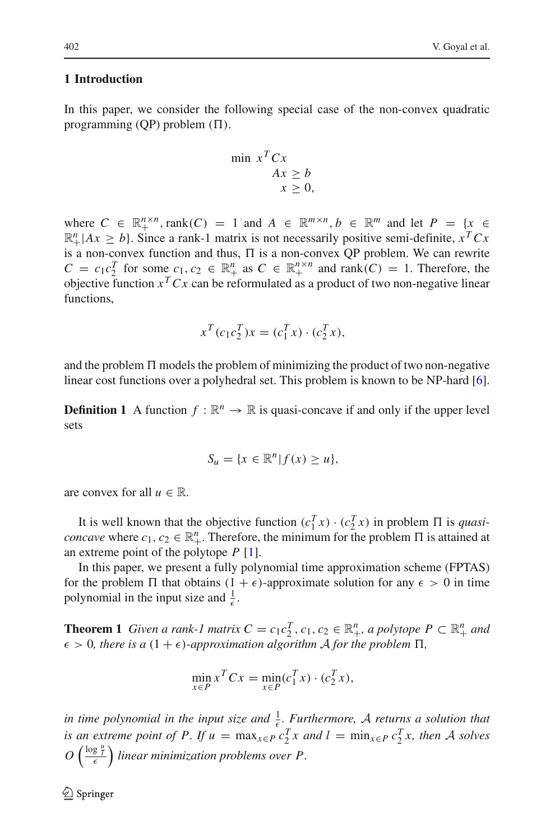# **1 Introduction**

In this paper, we consider the following special case of the non-convex quadratic programming (QP) problem  $(\Pi)$ .

$$
\min x^T C x \nAx \ge b \nx \ge 0,
$$

where  $C \in \mathbb{R}_+^{n \times n}$ , rank $(C) = 1$  and  $A \in \mathbb{R}^{m \times n}$ ,  $b \in \mathbb{R}^m$  and let  $P = \{x \in \mathbb{R}^{n \times n} \mid x \in \mathbb{R}^{n} \mid x \in \mathbb{R}^{n} \}$  $\mathbb{R}^n_+$  |  $Ax \geq b$  }. Since a rank-1 matrix is not necessarily positive semi-definite,  $x^T C x$ is a non-convex function and thus,  $\Pi$  is a non-convex QP problem. We can rewrite  $C = c_1 c_2^T$  for some  $c_1, c_2 \in \mathbb{R}^n_+$  as  $C \in \mathbb{R}^{n \times n}_+$  and rank(*C*) = 1. Therefore, the objective function  $x^T C x$  can be reformulated as a product of two non-negative linear functions,

$$
x^{T}(c_{1}c_{2}^{T})x = (c_{1}^{T}x) \cdot (c_{2}^{T}x),
$$

and the problem  $\Pi$  models the problem of minimizing the product of two non-negative linear cost functions over a polyhedral set. This problem is known to be NP-hard [\[6](#page-4-0)].

**Definition 1** A function  $f : \mathbb{R}^n \to \mathbb{R}$  is quasi-concave if and only if the upper level sets

$$
S_u = \{x \in \mathbb{R}^n | f(x) \ge u\},\
$$

are convex for all  $u \in \mathbb{R}$ .

It is well known that the objective function  $(c_1^T x) \cdot (c_2^T x)$  in problem  $\Pi$  is *quasiconcave* where  $c_1, c_2 \in \mathbb{R}^n_+$ . Therefore, the minimum for the problem  $\Pi$  is attained at an extreme point of the polytope *P* [\[1](#page-4-1)].

In this paper, we present a fully polynomial time approximation scheme (FPTAS) for the problem  $\Pi$  that obtains  $(1 + \epsilon)$ -approximate solution for any  $\epsilon > 0$  in time polynomial in the input size and  $\frac{1}{\epsilon}$ .

<span id="page-1-0"></span>**Theorem 1** *Given a rank-1 matrix*  $C = c_1 c_2^T$ ,  $c_1, c_2 \in \mathbb{R}_+^n$ , a polytope  $P \subset \mathbb{R}_+^n$  and  $\epsilon > 0$ , there is a  $(1 + \epsilon)$ -approximation algorithm A for the problem  $\Pi$ ,

$$
\min_{x \in P} x^T C x = \min_{x \in P} (c_1^T x) \cdot (c_2^T x),
$$

*in time polynomial in the input size and*  $\frac{1}{\epsilon}$ *. Furthermore, A returns a solution that is an extreme point of P. If*  $u = \max_{x \in P} c_2^T x$  *and*  $l = \min_{x \in P} c_2^T x$ , *then A solves*  $O\left(\frac{\log \frac{u}{l}}{\epsilon}\right)$  linear minimization problems over P.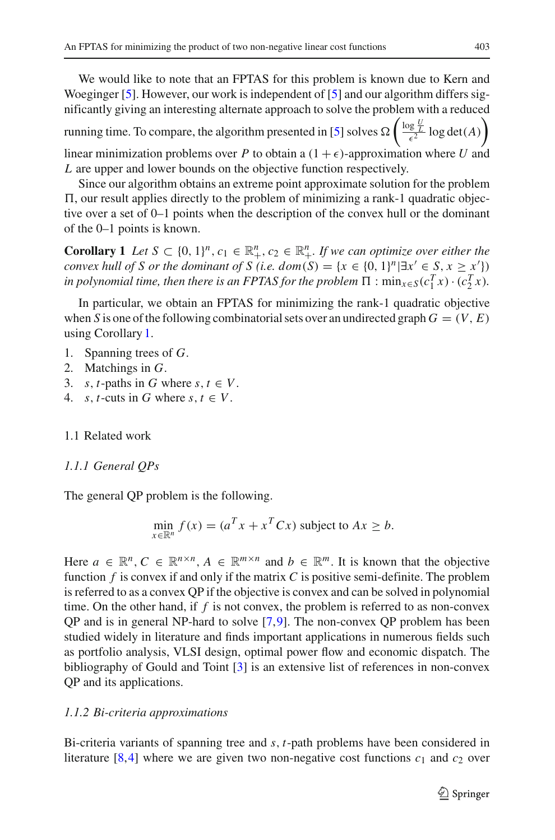We would like to note that an FPTAS for this problem is known due to Kern and Woeginger [\[5](#page-4-2)]. However, our work is independent of [\[5\]](#page-4-2) and our algorithm differs significantly giving an interesting alternate approach to solve the problem with a reduced running time. To compare, the algorithm presented in [\[5](#page-4-2)] solves  $\Omega\left(\frac{\log \frac{U}{\ell}}{\epsilon^2}\log \det(A)\right)$ linear minimization problems over *P* to obtain a  $(1 + \epsilon)$ -approximation where *U* and

*L* are upper and lower bounds on the objective function respectively. Since our algorithm obtains an extreme point approximate solution for the problem

-, our result applies directly to the problem of minimizing a rank-1 quadratic objective over a set of 0–1 points when the description of the convex hull or the dominant of the 0–1 points is known.

<span id="page-2-0"></span>**Corollary 1** *Let*  $S \subset \{0, 1\}^n, c_1 \in \mathbb{R}_+^n, c_2 \in \mathbb{R}_+^n$ . If we can optimize over either the *convex hull of S or the dominant of S (i.e.*  $dom(S) = \{x \in \{0, 1\}^n | \exists x' \in S, x \geq x'\}$ *) in polynomial time, then there is an FPTAS for the problem*  $\Pi$  :  $\min_{x \in S} (c_1^T x) \cdot (c_2^T x)$ *.* 

In particular, we obtain an FPTAS for minimizing the rank-1 quadratic objective when *S* is one of the following combinatorial sets over an undirected graph  $G = (V, E)$ using Corollary [1.](#page-2-0)

- 1. Spanning trees of *G*.
- 2. Matchings in *G*.
- 3. *s*, *t*-paths in *G* where *s*,  $t \in V$ .
- 4. *s*, *t*-cuts in *G* where *s*,  $t \in V$ .
- 1.1 Related work

#### *1.1.1 General QPs*

The general QP problem is the following.

$$
\min_{x \in \mathbb{R}^n} f(x) = (a^T x + x^T C x)
$$
 subject to  $Ax \ge b$ .

Here  $a \in \mathbb{R}^n$ ,  $C \in \mathbb{R}^{n \times n}$ ,  $A \in \mathbb{R}^{m \times n}$  and  $b \in \mathbb{R}^m$ . It is known that the objective function *f* is convex if and only if the matrix *C* is positive semi-definite. The problem is referred to as a convex QP if the objective is convex and can be solved in polynomial time. On the other hand, if *f* is not convex, the problem is referred to as non-convex QP and is in general NP-hard to solve [\[7](#page-4-3)[,9](#page-4-4)]. The non-convex QP problem has been studied widely in literature and finds important applications in numerous fields such as portfolio analysis, VLSI design, optimal power flow and economic dispatch. The bibliography of Gould and Toint [\[3\]](#page-4-5) is an extensive list of references in non-convex QP and its applications.

### *1.1.2 Bi-criteria approximations*

Bi-criteria variants of spanning tree and *s*, *t*-path problems have been considered in literature [\[8](#page-4-6),[4\]](#page-4-7) where we are given two non-negative cost functions  $c_1$  and  $c_2$  over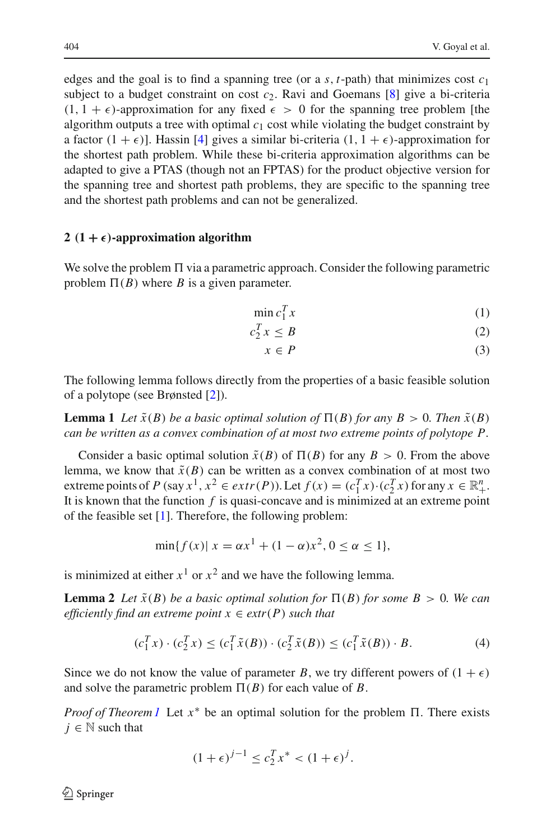edges and the goal is to find a spanning tree (or a  $s$ ,  $t$ -path) that minimizes cost  $c_1$ subject to a budget constraint on cost  $c_2$ . Ravi and Goemans [\[8](#page-4-6)] give a bi-criteria  $(1, 1 + \epsilon)$ -approximation for any fixed  $\epsilon > 0$  for the spanning tree problem [the algorithm outputs a tree with optimal  $c_1$  cost while violating the budget constraint by a factor  $(1 + \epsilon)$ ]. Hassin [\[4\]](#page-4-7) gives a similar bi-criteria  $(1, 1 + \epsilon)$ -approximation for the shortest path problem. While these bi-criteria approximation algorithms can be adapted to give a PTAS (though not an FPTAS) for the product objective version for the spanning tree and shortest path problems, they are specific to the spanning tree and the shortest path problems and can not be generalized.

# **2**  $(1 + \epsilon)$ -approximation algorithm

We solve the problem  $\Pi$  via a parametric approach. Consider the following parametric problem  $\Pi(B)$  where *B* is a given parameter.

$$
\min c_1^T x \tag{1}
$$

$$
c_2^T x \le B \tag{2}
$$

$$
x \in P \tag{3}
$$

The following lemma follows directly from the properties of a basic feasible solution of a polytope (see Brønsted [\[2](#page-4-8)]).

**Lemma 1** *Let*  $\tilde{x}(B)$  *be a basic optimal solution of*  $\Pi(B)$  *for any*  $B > 0$ *. Then*  $\tilde{x}(B)$ *can be written as a convex combination of at most two extreme points of polytope P.*

Consider a basic optimal solution  $\tilde{x}(B)$  of  $\Pi(B)$  for any  $B > 0$ . From the above lemma, we know that  $\tilde{x}(B)$  can be written as a convex combination of at most two extreme points of *P* (say  $x^1$ ,  $x^2 \in extr(P)$ ). Let  $f(x) = (c_1^T x) \cdot (c_2^T x)$  for any  $x \in \mathbb{R}^n_+$ . It is known that the function *f* is quasi-concave and is minimized at an extreme point of the feasible set [\[1\]](#page-4-1). Therefore, the following problem:

<span id="page-3-0"></span>
$$
\min\{f(x)| x = \alpha x^1 + (1 - \alpha)x^2, 0 \le \alpha \le 1\},\
$$

is minimized at either  $x^1$  or  $x^2$  and we have the following lemma.

**Lemma 2** *Let*  $\tilde{x}(B)$  *be a basic optimal solution for*  $\Pi(B)$  *for some*  $B > 0$ *. We can efficiently find an extreme point*  $x \in ext(P)$  *such that* 

$$
(c_1^T x) \cdot (c_2^T x) \le (c_1^T \tilde{x}(B)) \cdot (c_2^T \tilde{x}(B)) \le (c_1^T \tilde{x}(B)) \cdot B.
$$
 (4)

Since we do not know the value of parameter *B*, we try different powers of  $(1 + \epsilon)$ and solve the parametric problem  $\Pi(B)$  for each value of *B*.

*Proof of Theorem [1](#page-1-0)* Let  $x^*$  be an optimal solution for the problem  $\Pi$ . There exists  $j \in \mathbb{N}$  such that

$$
(1+\epsilon)^{j-1} \le c_2^T x^* < (1+\epsilon)^j.
$$